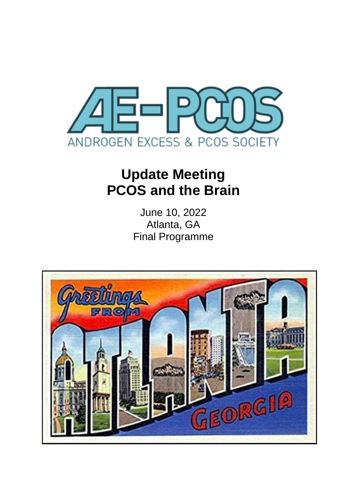

## **Update Meeting PCOS and the Brain**

June 10, 2022 Atlanta, GA Final Programme

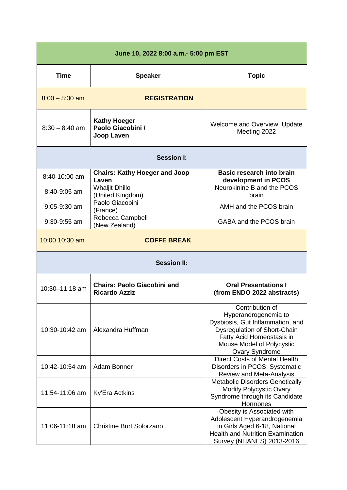| June 10, 2022 8:00 a.m.- 5:00 pm EST    |                                                            |                                                                                                                                                                                                       |  |
|-----------------------------------------|------------------------------------------------------------|-------------------------------------------------------------------------------------------------------------------------------------------------------------------------------------------------------|--|
| <b>Time</b>                             | <b>Speaker</b>                                             | <b>Topic</b>                                                                                                                                                                                          |  |
| $8:00 - 8:30$ am<br><b>REGISTRATION</b> |                                                            |                                                                                                                                                                                                       |  |
| $8:30 - 8:40$ am                        | <b>Kathy Hoeger</b><br>Paolo Giacobini /<br>Joop Laven     | Welcome and Overview: Update<br>Meeting 2022                                                                                                                                                          |  |
| <b>Session I:</b>                       |                                                            |                                                                                                                                                                                                       |  |
| 8:40-10:00 am                           | <b>Chairs: Kathy Hoeger and Joop</b><br>Laven              | <b>Basic research into brain</b><br>development in PCOS                                                                                                                                               |  |
| 8:40-9:05 am                            | <b>Whaljit Dhillo</b><br>(United Kingdom)                  | Neurokinine B and the PCOS<br>brain                                                                                                                                                                   |  |
| $9:05-9:30$ am                          | Paolo Giacobini<br>(France)                                | AMH and the PCOS brain                                                                                                                                                                                |  |
| $9:30-9:55$ am                          | Rebecca Campbell<br>(New Zealand)                          | GABA and the PCOS brain                                                                                                                                                                               |  |
| 10:00 10:30 am                          | <b>COFFE BREAK</b>                                         |                                                                                                                                                                                                       |  |
| <b>Session II:</b>                      |                                                            |                                                                                                                                                                                                       |  |
| 10:30-11:18 am                          | <b>Chairs: Paolo Giacobini and</b><br><b>Ricardo Azziz</b> | <b>Oral Presentations I</b><br>(from ENDO 2022 abstracts)                                                                                                                                             |  |
| 10:30-10:42 am                          | Alexandra Huffman                                          | Contribution of<br>Hyperandrogenemia to<br>Dysbiosis, Gut Inflammation, and<br><b>Dysregulation of Short-Chain</b><br>Fatty Acid Homeostasis in<br>Mouse Model of Polycystic<br><b>Ovary Syndrome</b> |  |
| 10:42-10:54 am                          | Adam Bonner                                                | <b>Direct Costs of Mental Health</b><br>Disorders in PCOS: Systematic<br><b>Review and Meta-Analysis</b>                                                                                              |  |
| 11:54-11:06 am                          | Ky'Era Actkins                                             | <b>Metabolic Disorders Genetically</b><br><b>Modify Polycystic Ovary</b><br>Syndrome through its Candidate<br>Hormones                                                                                |  |
| 11:06-11:18 am                          | <b>Christine Burt Solorzano</b>                            | Obesity is Associated with<br>Adolescent Hyperandrogenemia<br>in Girls Aged 6-18, National<br><b>Health and Nutrition Examination</b><br>Survey (NHANES) 2013-2016                                    |  |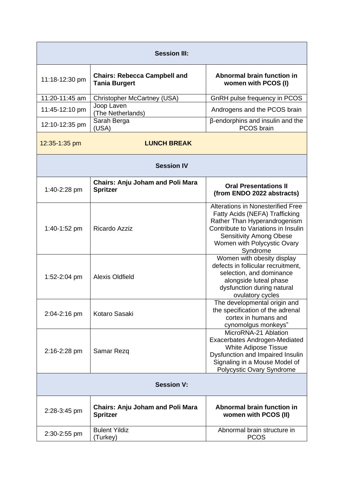| <b>Session III:</b>                     |                                                             |                                                                                                                                                                                                                                |  |  |
|-----------------------------------------|-------------------------------------------------------------|--------------------------------------------------------------------------------------------------------------------------------------------------------------------------------------------------------------------------------|--|--|
| 11:18-12:30 pm                          | <b>Chairs: Rebecca Campbell and</b><br><b>Tania Burgert</b> | Abnormal brain function in<br>women with PCOS (I)                                                                                                                                                                              |  |  |
| 11:20-11:45 am                          | <b>Christopher McCartney (USA)</b>                          | GnRH pulse frequency in PCOS                                                                                                                                                                                                   |  |  |
| 11:45-12:10 pm                          | Joop Laven<br>(The Netherlands)                             | Androgens and the PCOS brain                                                                                                                                                                                                   |  |  |
| 12:10-12:35 pm                          | Sarah Berga<br>(USA)                                        | β-endorphins and insulin and the<br>PCOS brain                                                                                                                                                                                 |  |  |
| <b>LUNCH BREAK</b><br>$12:35 - 1:35$ pm |                                                             |                                                                                                                                                                                                                                |  |  |
| <b>Session IV</b>                       |                                                             |                                                                                                                                                                                                                                |  |  |
| 1:40-2:28 pm                            | <b>Chairs: Anju Joham and Poli Mara</b><br><b>Spritzer</b>  | <b>Oral Presentations II</b><br>(from ENDO 2022 abstracts)                                                                                                                                                                     |  |  |
| 1:40-1:52 pm                            | Ricardo Azziz                                               | <b>Alterations in Nonesterified Free</b><br>Fatty Acids (NEFA) Trafficking<br>Rather Than Hyperandrogenism<br>Contribute to Variations in Insulin<br><b>Sensitivity Among Obese</b><br>Women with Polycystic Ovary<br>Syndrome |  |  |
| 1:52-2:04 pm                            | Alexis Oldfield                                             | Women with obesity display<br>defects in follicular recruitment,<br>selection, and dominance<br>alongside luteal phase<br>dysfunction during natural<br>ovulatory cycles                                                       |  |  |
| 2:04-2:16 pm                            | Kotaro Sasaki                                               | The developmental origin and<br>the specification of the adrenal<br>cortex in humans and<br>cynomolgus monkeys"                                                                                                                |  |  |
| 2:16-2:28 pm                            | Samar Rezg                                                  | MicroRNA-21 Ablation<br><b>Exacerbates Androgen-Mediated</b><br><b>White Adipose Tissue</b><br>Dysfunction and Impaired Insulin<br>Signaling in a Mouse Model of<br>Polycystic Ovary Syndrome                                  |  |  |
| <b>Session V:</b>                       |                                                             |                                                                                                                                                                                                                                |  |  |
| 2:28-3:45 pm                            | <b>Chairs: Anju Joham and Poli Mara</b><br><b>Spritzer</b>  | Abnormal brain function in<br>women with PCOS (II)                                                                                                                                                                             |  |  |
| 2:30-2:55 pm                            | <b>Bulent Yildiz</b><br>(Turkey)                            | Abnormal brain structure in<br><b>PCOS</b>                                                                                                                                                                                     |  |  |